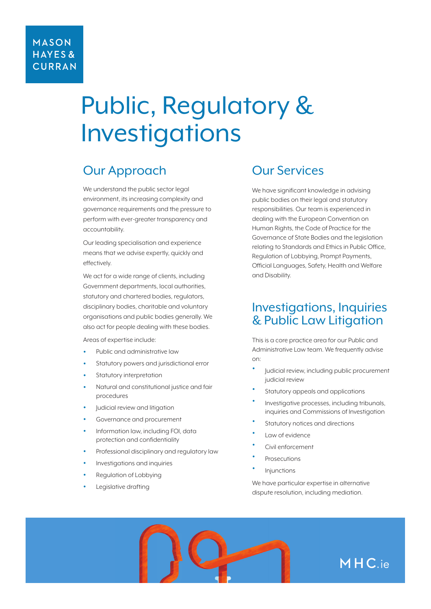# Public, Regulatory & Investigations

## Our Approach

We understand the public sector legal environment, its increasing complexity and governance requirements and the pressure to perform with ever-greater transparency and accountability.

Our leading specialisation and experience means that we advise expertly, quickly and effectively.

We act for a wide range of clients, including Government departments, local authorities, statutory and chartered bodies, regulators, disciplinary bodies, charitable and voluntary organisations and public bodies generally. We also act for people dealing with these bodies.

Areas of expertise include:

- Public and administrative law
- Statutory powers and jurisdictional error
- Statutory interpretation
- Natural and constitutional justice and fair procedures
- Judicial review and litigation
- Governance and procurement
- Information law, including FOI, data protection and confidentiality
- Professional disciplinary and regulatory law
- Investigations and inquiries
- Regulation of Lobbying
- Legislative drafting

#### Our Services

We have significant knowledge in advising public bodies on their legal and statutory responsibilities. Our team is experienced in dealing with the European Convention on Human Rights, the Code of Practice for the Governance of State Bodies and the legislation relating to Standards and Ethics in Public Office, Regulation of Lobbying, Prompt Payments, Official Languages, Safety, Health and Welfare and Disability.

### Investigations, Inquiries & Public Law Litigation

This is a core practice area for our Public and Administrative Law team. We frequently advise on:

- Judicial review, including public procurement judicial review
- Statutory appeals and applications
- Investigative processes, including tribunals, inquiries and Commissions of Investigation
- Statutory notices and directions
- Law of evidence
- Civil enforcement
- **Prosecutions**
- **Injunctions**

We have particular expertise in alternative dispute resolution, including mediation.